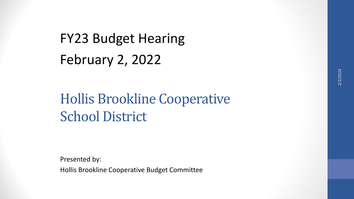# FY23 Budget Hearing February 2, 2022

## Hollis Brookline Cooperative School District

Presented by: Hollis Brookline Cooperative Budget Committee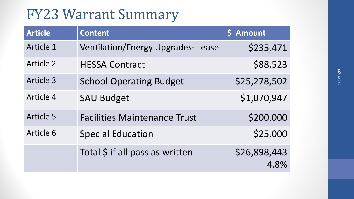## FY23 Warrant Summary

| <b>Article</b>   | <b>Content</b>                           | \$ Amount            |
|------------------|------------------------------------------|----------------------|
| Article 1        | <b>Ventilation/Energy Upgrades-Lease</b> | \$235,471            |
| <b>Article 2</b> | <b>HESSA Contract</b>                    | \$88,523             |
| Article 3        | <b>School Operating Budget</b>           | \$25,278,502         |
| Article 4        | <b>SAU Budget</b>                        | \$1,070,947          |
| <b>Article 5</b> | <b>Facilities Maintenance Trust</b>      | \$200,000            |
| Article 6        | <b>Special Education</b>                 | \$25,000             |
|                  | Total \$ if all pass as written          | \$26,898,443<br>4.8% |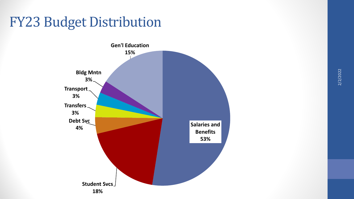## FY23 Budget Distribution

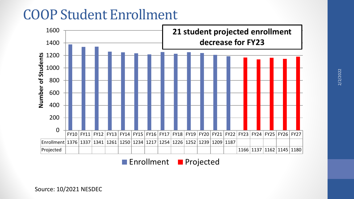## COOP Student Enrollment



**Enrollment Projected** 

Source: 10/2021 NESDEC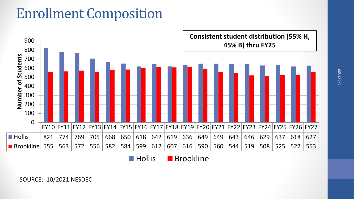## Enrollment Composition



**Hollis** Brookline

SOURCE: 10/2021 NESDEC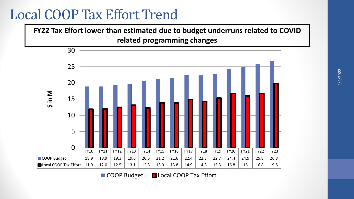### Local COOP Tax Effort Trend

**FY22 Tax Effort lower than estimated due to budget underruns related to COVID related programming changes**



■ COOP Budget ■ Local COOP Tax Effort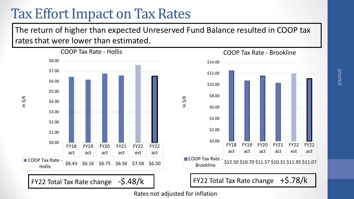### Tax Effort Impact on Tax Rates

The return of higher than expected Unreserved Fund Balance resulted in COOP tax rates that were lower than estimated.



Rates not adjusted for inflation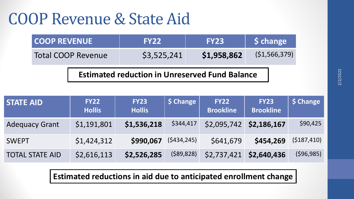# COOP Revenue & State Aid

| I COOP REVENUE            | <b>FY22</b> | <b>FY23/</b> | Schange        |
|---------------------------|-------------|--------------|----------------|
| <b>Total COOP Revenue</b> | \$3,525,241 | \$1,958,862  | (51, 566, 379) |

**Estimated reduction in Unreserved Fund Balance**

| <b>STATE AID</b>       | <b>FY22</b><br><b>Hollis</b> | <b>FY23</b><br><b>Hollis</b> | \$ Change   | <b>FY22</b><br><b>Brookline</b> | <b>FY23</b><br><b>Brookline</b> | S Change    |
|------------------------|------------------------------|------------------------------|-------------|---------------------------------|---------------------------------|-------------|
| <b>Adequacy Grant</b>  | \$1,191,801                  | \$1,536,218                  | \$344,417   | \$2,095,742                     | \$2,186,167                     | \$90,425    |
| <b>SWEPT</b>           | \$1,424,312                  | \$990,067                    | (5434, 245) | \$641,679                       | \$454,269                       | (5187, 410) |
| <b>TOTAL STATE AID</b> | \$2,616,113                  | \$2,526,285                  | (589, 828)  | \$2,737,421                     | \$2,640,436                     | (596, 985)  |

**Estimated reductions in aid due to anticipated enrollment change**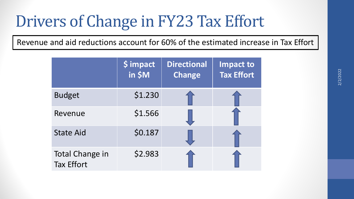# Drivers of Change in FY23 Tax Effort

Revenue and aid reductions account for 60% of the estimated increase in Tax Effort

|                                             | \$ impact<br>in \$M | <b>Directional</b><br><b>Change</b> | <b>Impact to</b><br><b>Tax Effort</b> |
|---------------------------------------------|---------------------|-------------------------------------|---------------------------------------|
| <b>Budget</b>                               | \$1.230             |                                     |                                       |
| Revenue                                     | \$1.566             |                                     |                                       |
| <b>State Aid</b>                            | \$0.187             |                                     |                                       |
| <b>Total Change in</b><br><b>Tax Effort</b> | \$2.983             |                                     |                                       |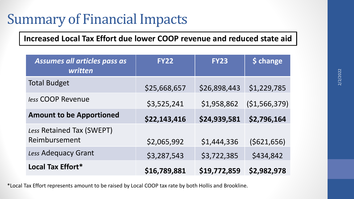## Summary of Financial Impacts

**Increased Local Tax Effort due lower COOP revenue and reduced state aid**

| Assumes all articles pass as<br>written    | <b>FY22</b>  | <b>FY23</b>  | \$ change     |
|--------------------------------------------|--------------|--------------|---------------|
| <b>Total Budget</b>                        | \$25,668,657 | \$26,898,443 | \$1,229,785   |
| less COOP Revenue                          | \$3,525,241  | \$1,958,862  | (\$1,566,379) |
| <b>Amount to be Apportioned</b>            | \$22,143,416 | \$24,939,581 | \$2,796,164   |
| Less Retained Tax (SWEPT)<br>Reimbursement | \$2,065,992  | \$1,444,336  | (5621, 656)   |
| Less Adequacy Grant                        | \$3,287,543  | \$3,722,385  | \$434,842     |
| Local Tax Effort*                          | \$16,789,881 | \$19,772,859 | \$2,982,978   |

\*Local Tax Effort represents amount to be raised by Local COOP tax rate by both Hollis and Brookline.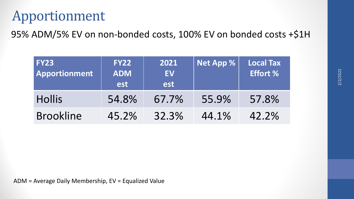## Apportionment

95% ADM/5% EV on non-bonded costs, 100% EV on bonded costs +\$1H

| <b>FY23</b><br><b>Apportionment</b> | <b>FY22</b><br><b>ADM</b><br>est | 2021<br><b>EV</b><br>est | $\vert$ Net App $\%$ | <b>Local Tax</b><br><b>Effort %</b> |
|-------------------------------------|----------------------------------|--------------------------|----------------------|-------------------------------------|
| <b>Hollis</b>                       | 54.8%                            | 67.7%                    | 55.9%                | 57.8%                               |
| <b>Brookline</b>                    | 45.2%                            | 32.3%                    | 44.1%                | 42.2%                               |

ADM = Average Daily Membership, EV = Equalized Value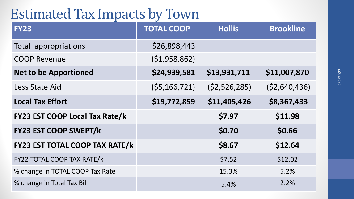### Estimated Tax Impacts by Town

| <b>FY23</b>                           | <b>TOTAL COOP</b> | <b>Hollis</b>  | <b>Brookline</b> |
|---------------------------------------|-------------------|----------------|------------------|
| Total appropriations                  | \$26,898,443      |                |                  |
| <b>COOP Revenue</b>                   | (51, 958, 862)    |                |                  |
| <b>Net to be Apportioned</b>          | \$24,939,581      | \$13,931,711   | \$11,007,870     |
| <b>Less State Aid</b>                 | (55, 166, 721)    | (52, 526, 285) | (52,640,436)     |
| <b>Local Tax Effort</b>               | \$19,772,859      | \$11,405,426   | \$8,367,433      |
| <b>FY23 EST COOP Local Tax Rate/k</b> |                   | \$7.97         | \$11.98          |
| <b>FY23 EST COOP SWEPT/k</b>          |                   | \$0.70         | \$0.66           |
| <b>FY23 EST TOTAL COOP TAX RATE/k</b> |                   | \$8.67         | \$12.64          |
| <b>FY22 TOTAL COOP TAX RATE/k</b>     |                   | \$7.52         | \$12.02          |
| % change in TOTAL COOP Tax Rate       |                   | 15.3%          | 5.2%             |
| % change in Total Tax Bill            |                   | 5.4%           | 2.2%             |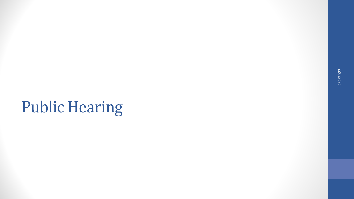# Public Hearing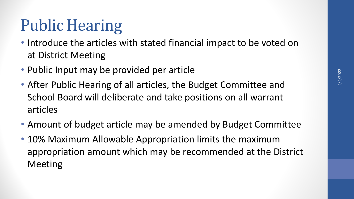# Public Hearing

- Introduce the articles with stated financial impact to be voted on at District Meeting
- Public Input may be provided per article
- After Public Hearing of all articles, the Budget Committee and School Board will deliberate and take positions on all warrant articles
- Amount of budget article may be amended by Budget Committee
- 10% Maximum Allowable Appropriation limits the maximum appropriation amount which may be recommended at the District Meeting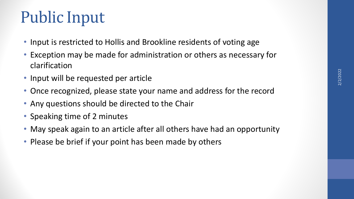# Public Input

- Input is restricted to Hollis and Brookline residents of voting age
- Exception may be made for administration or others as necessary for clarification
- Input will be requested per article
- Once recognized, please state your name and address for the record
- Any questions should be directed to the Chair
- Speaking time of 2 minutes
- May speak again to an article after all others have had an opportunity
- Please be brief if your point has been made by others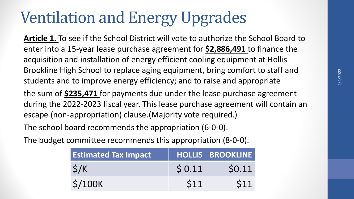# Ventilation and Energy Upgrades

**Article 1.** To see if the School District will vote to authorize the School Board to enter into a 15-year lease purchase agreement for **\$2,886,491** to finance the acquisition and installation of energy efficient cooling equipment at Hollis Brookline High School to replace aging equipment, bring comfort to staff and students and to improve energy efficiency; and to raise and appropriate

the sum of **\$235,471** for payments due under the lease purchase agreement during the 2022-2023 fiscal year. This lease purchase agreement will contain an escape (non-appropriation) clause.(Majority vote required.)

The school board recommends the appropriation (6-0-0).

The budget committee recommends this appropriation (8-0-0).

| <b>Estimated Tax Impact</b> |       | HOLLIS BROOKLINE |
|-----------------------------|-------|------------------|
| $\zeta/K$                   | 50.11 | \$0.11           |
| \$/100K                     | S11   | \$11             |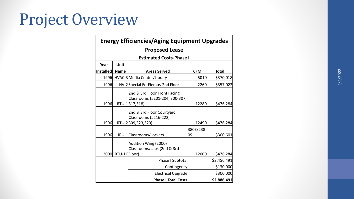# Project Overview

| <b>Energy Efficiencies/Aging Equipment Upgrades</b> |                       |                                                                |                 |              |  |  |  |  |
|-----------------------------------------------------|-----------------------|----------------------------------------------------------------|-----------------|--------------|--|--|--|--|
|                                                     | <b>Proposed Lease</b> |                                                                |                 |              |  |  |  |  |
|                                                     |                       | <b>Estimated Costs-Phase I</b>                                 |                 |              |  |  |  |  |
| Year                                                | Unit                  |                                                                |                 |              |  |  |  |  |
| <b>Installed</b>                                    | <b>Name</b>           | <b>Areas Served</b>                                            | <b>CFM</b>      | <b>Total</b> |  |  |  |  |
| 1996                                                |                       | HVAC-3 Media Center/Library                                    | 5010            | \$370,018    |  |  |  |  |
| 1996                                                |                       | HV-2Special Ed-Fiemus-2nd Floor                                | 2260            | \$357,022    |  |  |  |  |
|                                                     |                       | 2nd & 3rd Floor Front Facing<br>Classrooms (#201-204, 300-307, |                 |              |  |  |  |  |
| 1996                                                |                       | RTU-1317,318)                                                  | 12280           | \$476,284    |  |  |  |  |
|                                                     |                       | 2nd & 3rd Floor Courtyard<br>Classrooms (#216-222,             |                 |              |  |  |  |  |
| 1996                                                |                       | RTU-2309,323,329)                                              | 12490           | \$476,284    |  |  |  |  |
| 1996                                                |                       | HRU-1 Classrooms/Lockers                                       | 380E/238<br>los | \$300,601    |  |  |  |  |
|                                                     |                       | Addition Wing (2000)<br>Classrooms/Labs (2nd & 3rd             |                 |              |  |  |  |  |
| 2000                                                | RTU-1CFloor)          |                                                                | 12000           | \$476,284    |  |  |  |  |
|                                                     |                       | <b>Phase I Subtotal</b>                                        |                 | \$2,456,491  |  |  |  |  |
|                                                     |                       | Contingency                                                    |                 | \$130,000    |  |  |  |  |
|                                                     |                       | <b>Electrical Upgrade</b>                                      |                 | \$300,000    |  |  |  |  |
|                                                     |                       | <b>Phase I Total Costs</b>                                     |                 | \$2,886,491  |  |  |  |  |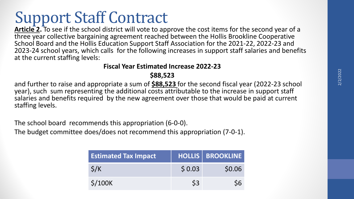# Support Staff Contract

**Article 2.** To see if the school district will vote to approve the cost items for the second year of a three year collective bargaining agreement reached between the Hollis Brookline Cooperative School Board and the Hollis Education Support Staff Association for the 2021-22, 2022-23 and 2023-24 school years, which calls for the following increases in support staff salaries and benefits at the current staffing levels:

#### **Fiscal Year Estimated Increase 2022-23**

#### **\$88,523**

and further to raise and appropriate a sum of **\$88,523** for the second fiscal year (2022-23 school year), such sum representing the additional costs attributable to the increase in support staff salaries and benefits required by the new agreement over those that would be paid at current staffing levels.

The school board recommends this appropriation (6-0-0).

The budget committee does/does not recommend this appropriation (7-0-1).

| <b>Estimated Tax Impact</b>    |        | <b>HOLLIS   BROOKLINE</b> |
|--------------------------------|--------|---------------------------|
| $\zeta/K$                      | \$0.03 | \$0.06                    |
| $\frac{\text{S}}{\text{100K}}$ | S3     |                           |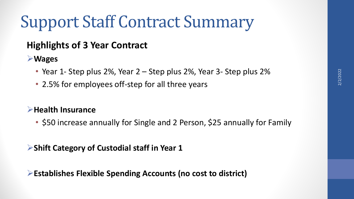# Support Staff Contract Summary

#### **Highlights of 3 Year Contract**

**Wages**

- Year 1- Step plus 2%, Year 2 Step plus 2%, Year 3- Step plus 2%
- 2.5% for employees off-step for all three years

#### **Health Insurance**

• \$50 increase annually for Single and 2 Person, \$25 annually for Family

**Shift Category of Custodial staff in Year 1**

**Establishes Flexible Spending Accounts (no cost to district)**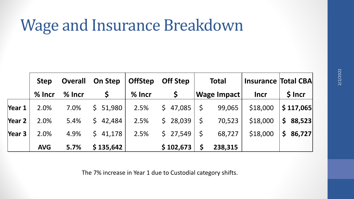# Wage and Insurance Breakdown

|        | <b>Step</b> | <b>Overall</b> | <b>On Step</b> | <b>OffStep</b> | <b>Off Step</b> | <b>Total</b>      | <b>Insurance Total CBA</b> |                          |
|--------|-------------|----------------|----------------|----------------|-----------------|-------------------|----------------------------|--------------------------|
|        | $%$ Incr    | $%$ lncr       | $\mathsf{S}$   | $%$ lncr       |                 | Wage Impact       | <b>Incr</b>                | \$ Incr                  |
| Year 1 | 2.0%        | 7.0%           | \$51,980       | 2.5%           | \$47,085        | $\zeta$<br>99,065 | \$18,000                   | \$117,065                |
| Year 2 | 2.0%        | 5.4%           | $5 \t42,484$   | 2.5%           | \$28,039        | $\zeta$<br>70,523 | \$18,000                   | $\mathsf{S}$<br>88,523   |
| Year 3 | 2.0%        | 4.9%           | 541,178        | 2.5%           | \$27,549        | $\zeta$<br>68,727 | \$18,000                   | $\mathsf{S}^-$<br>86,727 |
|        | <b>AVG</b>  | 5.7%           | \$135,642      |                | \$102,673       | 238,315           |                            |                          |

The 7% increase in Year 1 due to Custodial category shifts.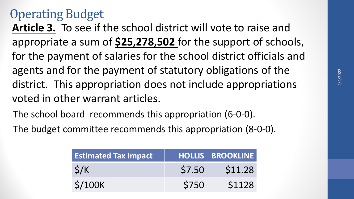### Operating Budget

**Article 3.** To see if the school district will vote to raise and appropriate a sum of **\$25,278,502** for the support of schools, for the payment of salaries for the school district officials and agents and for the payment of statutory obligations of the district. This appropriation does not include appropriations voted in other warrant articles.

The school board recommends this appropriation (6-0-0).

The budget committee recommends this appropriation (8-0-0).

| <b>Estimated Tax Impact</b>    |        | <b>HOLLIS   BROOKLINE  </b> |
|--------------------------------|--------|-----------------------------|
| S/K                            | \$7.50 | \$11.28                     |
| $\frac{\text{S}}{\text{100K}}$ | \$750  | <b>\$1128</b>               |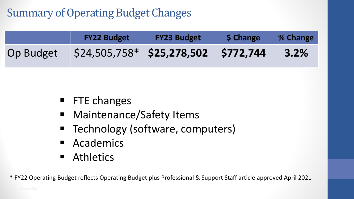### Summary of Operating Budget Changes

|           | <b>FY22 Budget</b>                    | <b>FY23 Budget</b> | <b>S Change</b> | % Change |
|-----------|---------------------------------------|--------------------|-----------------|----------|
| Op Budget | $$24,505,758*$ \$25,278,502 \$772,744 |                    |                 | 3.2%     |

- **FTE changes**
- **-** Maintenance/Safety Items
- **Technology (software, computers)**
- **E** Academics
- **Athletics**

\* FY22 Operating Budget reflects Operating Budget plus Professional & Support Staff article approved April 2021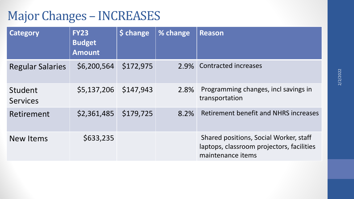### Major Changes – INCREASES

| <b>Category</b>            | <b>FY23</b><br><b>Budget</b><br><b>Amount</b> | Schange   | % change | <b>Reason</b>                                                                                            |
|----------------------------|-----------------------------------------------|-----------|----------|----------------------------------------------------------------------------------------------------------|
| <b>Regular Salaries</b>    | \$6,200,564                                   | \$172,975 |          | 2.9% Contracted increases                                                                                |
| Student<br><b>Services</b> | \$5,137,206                                   | \$147,943 | 2.8%     | Programming changes, incl savings in<br>transportation                                                   |
| Retirement                 | \$2,361,485                                   | \$179,725 | 8.2%     | <b>Retirement benefit and NHRS increases</b>                                                             |
| New Items                  | \$633,235                                     |           |          | Shared positions, Social Worker, staff<br>laptops, classroom projectors, facilities<br>maintenance items |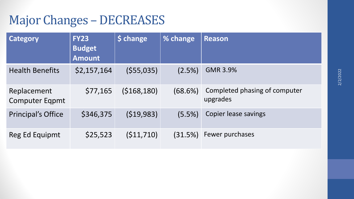### Major Changes - DECREASES

| <b>Category</b>                      | <b>FY23</b><br><b>Budget</b><br><b>Amount</b> | \$ change   | % change | <b>Reason</b>                             |
|--------------------------------------|-----------------------------------------------|-------------|----------|-------------------------------------------|
| <b>Health Benefits</b>               | \$2,157,164                                   | (555,035)   | (2.5%)   | <b>GMR 3.9%</b>                           |
| Replacement<br><b>Computer Eqpmt</b> | \$77,165                                      | (5168, 180) | (68.6%)  | Completed phasing of computer<br>upgrades |
| <b>Principal's Office</b>            | \$346,375                                     | (519, 983)  | (5.5%)   | <b>Copier lease savings</b>               |
| Reg Ed Equipmt                       | \$25,523                                      | (511, 710)  | (31.5%)  | Fewer purchases                           |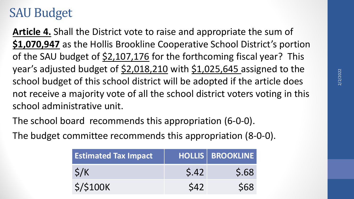### SAU Budget

**Article 4.** Shall the District vote to raise and appropriate the sum of **\$1,070,947** as the Hollis Brookline Cooperative School District's portion of the SAU budget of  $\frac{2,107,176}{2}$  for the forthcoming fiscal year? This year's adjusted budget of \$2,018,210 with \$1,025,645 assigned to the school budget of this school district will be adopted if the article does not receive a majority vote of all the school district voters voting in this school administrative unit.

The school board recommends this appropriation (6-0-0).

The budget committee recommends this appropriation (8-0-0).

| <b>Estimated Tax Impact</b> |            | <b>HOLLIS   BROOKLINE  </b> |
|-----------------------------|------------|-----------------------------|
| $\zeta/K$                   | 5.42       | \$.68                       |
| $\frac{\xi}{\sin \theta}$   | <b>S42</b> | <b>S68</b>                  |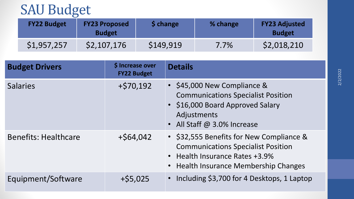# SAU Budget

| <b>FY22 Budget</b> | <b>FY23 Proposed</b><br><b>Budget</b> | <b>S</b> change | % change | <b>FY23 Adjusted</b><br><b>Budget</b> |
|--------------------|---------------------------------------|-----------------|----------|---------------------------------------|
| \$1,957,257        | \$2,107,176                           | \$149,919       | $7.7\%$  | \$2,018,210                           |

| <b>Budget Drivers</b>       | \$ Increase over<br><b>FY22 Budget</b> | <b>Details</b>                                                                                                                                                   |
|-----------------------------|----------------------------------------|------------------------------------------------------------------------------------------------------------------------------------------------------------------|
| <b>Salaries</b>             | $+$ \$70,192                           | • \$45,000 New Compliance &<br><b>Communications Specialist Position</b><br>• \$16,000 Board Approved Salary<br>Adjustments<br>• All Staff @ 3.0% Increase       |
| <b>Benefits: Healthcare</b> | $+$ \$64,042                           | • \$32,555 Benefits for New Compliance &<br><b>Communications Specialist Position</b><br>• Health Insurance Rates +3.9%<br>• Health Insurance Membership Changes |
| Equipment/Software          | $+$ \$5,025                            | Including \$3,700 for 4 Desktops, 1 Laptop                                                                                                                       |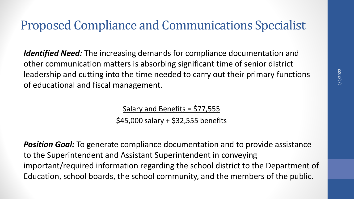### Proposed Compliance and Communications Specialist

*Identified Need:* The increasing demands for compliance documentation and other communication matters is absorbing significant time of senior district leadership and cutting into the time needed to carry out their primary functions of educational and fiscal management.

Salary and Benefits = \$77,555

\$45,000 salary + \$32,555 benefits

*Position Goal:* To generate compliance documentation and to provide assistance to the Superintendent and Assistant Superintendent in conveying important/required information regarding the school district to the Department of Education, school boards, the school community, and the members of the public.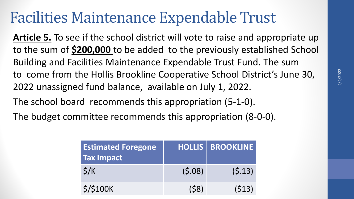# Facilities Maintenance Expendable Trust

**Article 5.** To see if the school district will vote to raise and appropriate up to the sum of **\$200,000** to be added to the previously established School Building and Facilities Maintenance Expendable Trust Fund. The sum to come from the Hollis Brookline Cooperative School District's June 30, 2022 unassigned fund balance, available on July 1, 2022.

The school board recommends this appropriation (5-1-0).

The budget committee recommends this appropriation (8-0-0).

| <b>Estimated Foregone</b><br><b>Tax Impact</b> |        | HOLLIS BROOKLINE |
|------------------------------------------------|--------|------------------|
| $\zeta/K$                                      | (5.08) | (5.13)           |
| <b>\$/\$100K</b>                               | (58)   | (513)            |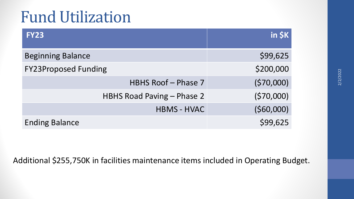# Fund Utilization

| <b>FY23</b>                 | $in$ $$K$ |
|-----------------------------|-----------|
| <b>Beginning Balance</b>    | \$99,625  |
| <b>FY23Proposed Funding</b> | \$200,000 |
| <b>HBHS Roof - Phase 7</b>  | (570,000) |
| HBHS Road Paving - Phase 2  | (570,000) |
| <b>HBMS - HVAC</b>          | (560,000) |
| <b>Ending Balance</b>       | \$99,625  |

Additional \$255,750K in facilities maintenance items included in Operating Budget.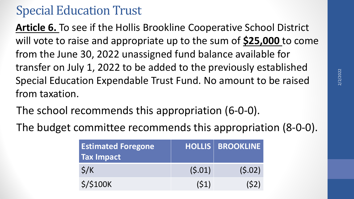### Special Education Trust

**Article 6.** To see if the Hollis Brookline Cooperative School District will vote to raise and appropriate up to the sum of **\$25,000** to come from the June 30, 2022 unassigned fund balance available for transfer on July 1, 2022 to be added to the previously established Special Education Expendable Trust Fund. No amount to be raised from taxation.

- The school recommends this appropriation (6-0-0).
- The budget committee recommends this appropriation (8-0-0).

| <b>Estimated Foregone</b><br><b>Tax Impact</b> |        | <b>HOLLIS BROOKLINE</b> |
|------------------------------------------------|--------|-------------------------|
| $\zeta/K$                                      | (5.01) | (5.02)                  |
| <b>\$/\$100K</b>                               | (51)   | (52)                    |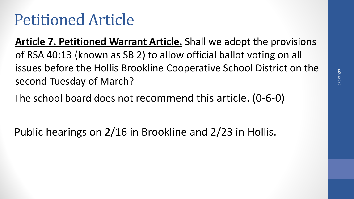**Article 7. Petitioned Warrant Article.** Shall we adopt the provisions of RSA 40:13 (known as SB 2) to allow official ballot voting on all issues before the Hollis Brookline Cooperative School District on the second Tuesday of March?

The school board does not recommend this article. (0-6-0)

Public hearings on 2/16 in Brookline and 2/23 in Hollis.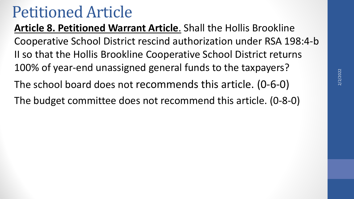**Article 8. Petitioned Warrant Article**. Shall the Hollis Brookline Cooperative School District rescind authorization under RSA 198:4-b II so that the Hollis Brookline Cooperative School District returns 100% of year-end unassigned general funds to the taxpayers? The school board does not recommends this article. (0-6-0) The budget committee does not recommend this article. (0-8-0)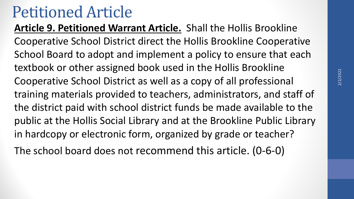**Article 9. Petitioned Warrant Article.** Shall the Hollis Brookline Cooperative School District direct the Hollis Brookline Cooperative School Board to adopt and implement a policy to ensure that each textbook or other assigned book used in the Hollis Brookline Cooperative School District as well as a copy of all professional training materials provided to teachers, administrators, and staff of the district paid with school district funds be made available to the public at the Hollis Social Library and at the Brookline Public Library in hardcopy or electronic form, organized by grade or teacher?

The school board does not recommend this article. (0-6-0)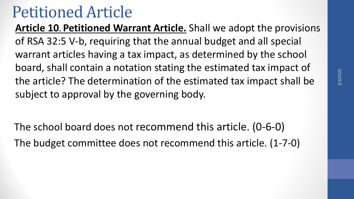**Article 10. Petitioned Warrant Article.** Shall we adopt the provisions of RSA 32:5 V-b, requiring that the annual budget and all special warrant articles having a tax impact, as determined by the school board, shall contain a notation stating the estimated tax impact of the article? The determination of the estimated tax impact shall be subject to approval by the governing body.

The school board does not recommend this article. (0-6-0) The budget committee does not recommend this article. (1-7-0)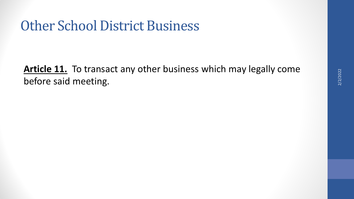## Other School District Business

**Article 11.** To transact any other business which may legally come before said meeting.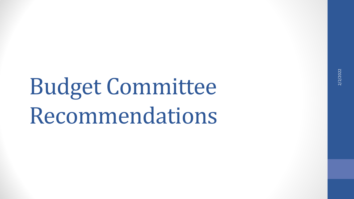Budget Committee Recommendations